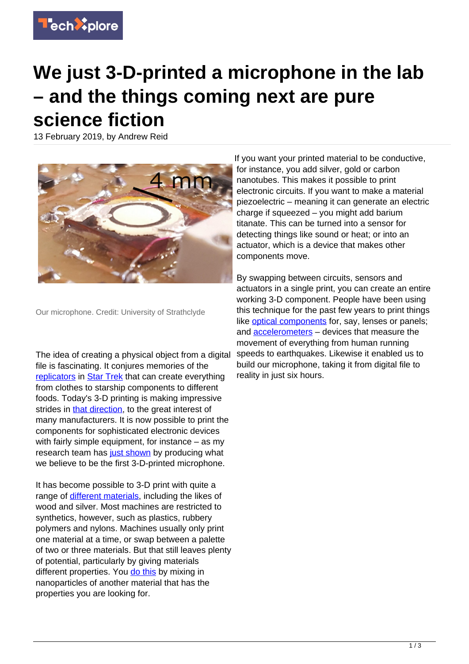

## **We just 3-D-printed a microphone in the lab – and the things coming next are pure science fiction**

13 February 2019, by Andrew Reid



Our microphone. Credit: University of Strathclyde

The idea of creating a physical object from a digital file is fascinating. It conjures memories of the [replicators](https://sto.gamepedia.com/Replicator) in [Star Trek](https://www.youtube.com/watch?v=jyMYKWIAR5s) that can create everything from clothes to starship components to different foods. Today's 3-D printing is making impressive strides in [that direction](https://www.digitaltrends.com/cool-tech/3d-printing-using-light-the-thinker/), to the great interest of many manufacturers. It is now possible to print the components for sophisticated electronic devices with fairly simple equipment, for instance – as my research team has [just shown](https://www.sciencedirect.com/science/article/pii/S0264127519300139) by producing what we believe to be the first 3-D-printed microphone.

It has become possible to 3-D print with quite a range of [different materials](https://all3dp.com/what-kind-of-materials-can-i-use-in-3d-printing/), including the likes of wood and silver. Most machines are restricted to synthetics, however, such as plastics, rubbery polymers and nylons. Machines usually only print one material at a time, or swap between a palette of two or three materials. But that still leaves plenty of potential, particularly by giving materials different properties. You [do this](https://www.sciencedirect.com/science/article/pii/S1359836816321230) by mixing in nanoparticles of another material that has the properties you are looking for.

If you want your printed material to be conductive, for instance, you add silver, gold or carbon nanotubes. This makes it possible to print electronic circuits. If you want to make a material piezoelectric – meaning it can generate an electric charge if squeezed – you might add barium titanate. This can be turned into a sensor for detecting things like sound or heat; or into an actuator, which is a device that makes other components move.

By swapping between circuits, sensors and actuators in a single print, you can create an entire working 3-D component. People have been using this technique for the past few years to print things like **optical components** for, say, lenses or panels; and [accelerometers](https://ieeexplore.ieee.org/document/8089728/) – devices that measure the movement of everything from human running speeds to earthquakes. Likewise it enabled us to build our microphone, taking it from digital file to reality in just six hours.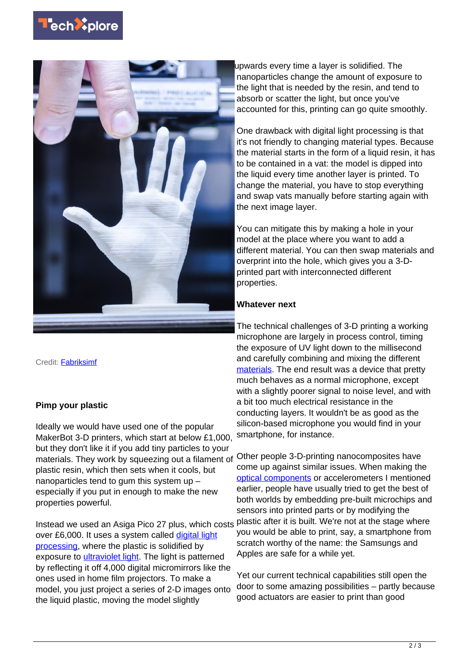



Credit: [Fabriksimf](https://www.shutterstock.com/image-photo/3d-printing-progress-567506227)

## **Pimp your plastic**

Ideally we would have used one of the popular MakerBot 3-D printers, which start at below £1,000, but they don't like it if you add tiny particles to your materials. They work by squeezing out a filament of plastic resin, which then sets when it cools, but nanoparticles tend to gum this system up – especially if you put in enough to make the new properties powerful.

Instead we used an Asiga Pico 27 plus, which costs over £6,000. It uses a system called [digital light](https://www.think3d.in/digital-light-processing-dlp-3d-printing-technology-overview/) [processing,](https://www.think3d.in/digital-light-processing-dlp-3d-printing-technology-overview/) where the plastic is solidified by exposure to [ultraviolet light](https://techxplore.com/tags/ultraviolet+light/). The light is patterned by reflecting it off 4,000 digital micromirrors like the ones used in home film projectors. To make a model, you just project a series of 2-D images onto the liquid plastic, moving the model slightly

upwards every time a layer is solidified. The nanoparticles change the amount of exposure to the light that is needed by the resin, and tend to absorb or scatter the light, but once you've accounted for this, printing can go quite smoothly.

One drawback with digital light processing is that it's not friendly to changing material types. Because the material starts in the form of a liquid resin, it has to be contained in a vat: the model is dipped into the liquid every time another layer is printed. To change the material, you have to stop everything and swap vats manually before starting again with the next image layer.

You can mitigate this by making a hole in your model at the place where you want to add a different material. You can then swap materials and overprint into the hole, which gives you a 3-Dprinted part with interconnected different properties.

## **Whatever next**

The technical challenges of 3-D printing a working microphone are largely in process control, timing the exposure of UV light down to the millisecond and carefully combining and mixing the different [materials](https://techxplore.com/tags/materials/). The end result was a device that pretty much behaves as a normal microphone, except with a slightly poorer signal to noise level, and with a bit too much electrical resistance in the conducting layers. It wouldn't be as good as the silicon-based microphone you would find in your smartphone, for instance.

Other people 3-D-printing nanocomposites have come up against similar issues. When making the [optical components](https://techxplore.com/tags/optical+components/) or accelerometers I mentioned earlier, people have usually tried to get the best of both worlds by embedding pre-built microchips and sensors into printed parts or by modifying the plastic after it is built. We're not at the stage where you would be able to print, say, a smartphone from scratch worthy of the name: the Samsungs and Apples are safe for a while yet.

Yet our current technical capabilities still open the door to some amazing possibilities – partly because good actuators are easier to print than good